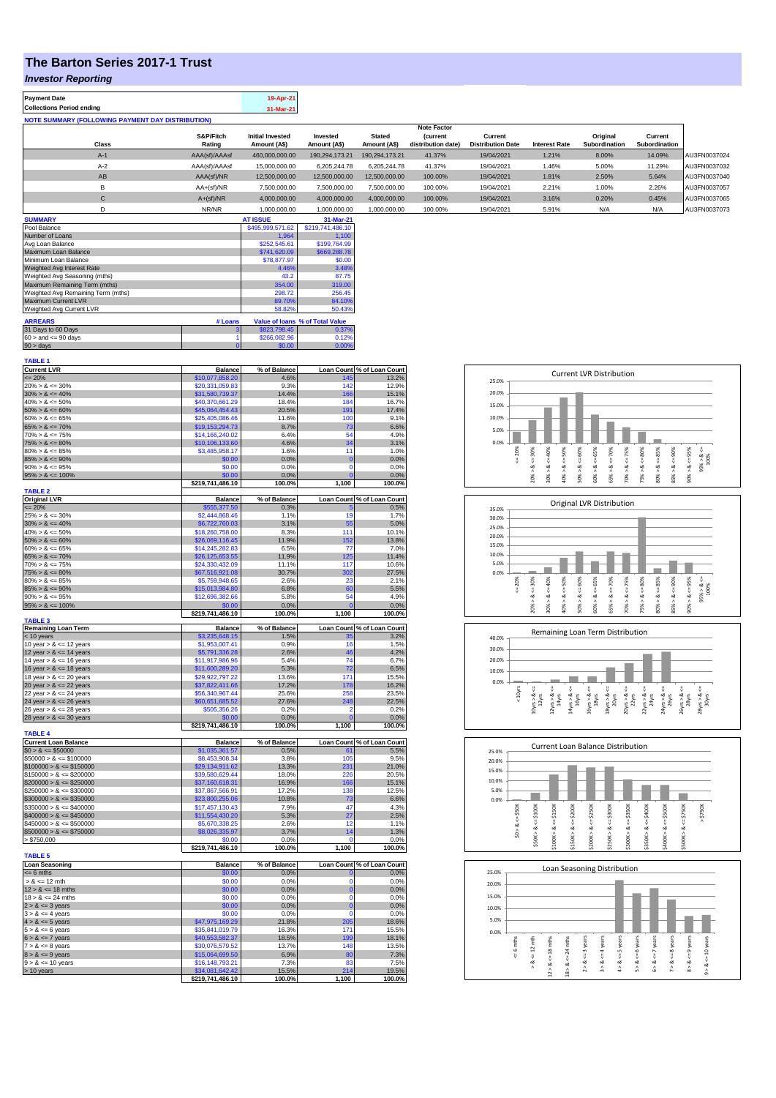## **The Barton Series 2017-1 Trust**

## *Investor Reporting*

| <b>Payment Date</b>                                      | 19-Apr-21 |
|----------------------------------------------------------|-----------|
| <b>Collections Period ending</b>                         | 31-Mar-21 |
| <b>NOTE SUMMARY (FOLLOWING PAYMENT DAY DISTRIBUTION)</b> |           |
|                                                          |           |

|              |               |                         |                |                | <b>Note Factor</b> |                          |                      |               |               |              |
|--------------|---------------|-------------------------|----------------|----------------|--------------------|--------------------------|----------------------|---------------|---------------|--------------|
|              | S&P/Fitch     | <b>Initial Invested</b> | Invested       | <b>Stated</b>  | <i>(current</i>    | Current                  |                      | Original      | Current       |              |
| Class        | Rating        | Amount (A\$)            | Amount (A\$)   | Amount (A\$)   | distribution date) | <b>Distribution Date</b> | <b>Interest Rate</b> | Subordination | Subordination |              |
| $A-1$        | AAA(sf)/AAAsf | 460.000.000.00          | 190.294.173.21 | 190.294.173.21 | 41.37%             | 19/04/2021               | 1.21%                | 8.00%         | 14.09%        | AU3FN0037024 |
| $A-2$        | AAA(sf)/AAAsf | 15,000,000,00           | 6.205.244.78   | 6.205.244.78   | 41.37%             | 19/04/2021               | 1.46%                | 5.00%         | 11.29%        | AU3FN0037032 |
| AB           | AAA(sf)/NR    | 12.500.000.00           | 12.500.000.00  | 12.500.000.00  | 100.00%            | 19/04/2021               | 1.81%                | 2.50%         | 5.64%         | AU3FN0037040 |
| в            | $AA+(sf)/NR$  | 7.500.000.00            | 7.500.000.00   | 7.500.000.00   | 100.00%            | 19/04/2021               | 2.21%                | 1.00%         | 2.26%         | AU3FN0037057 |
| $\mathsf{C}$ | $A+(sf)/NR$   | 4.000.000.00            | 4.000.000.00   | 4.000.000.00   | 100.00%            | 19/04/2021               | 3.16%                | 0.20%         | 0.45%         | AU3FN0037065 |
|              | NR/NR         | 1,000,000.00            | 1.000.000.00   | 1,000,000.00   | 100.00%            | 19/04/2021               | 5.91%                | N/A           | N/A           | AU3FN0037073 |
|              |               |                         |                |                |                    |                          |                      |               |               |              |

| <b>SUMMARY</b>                     |         | <b>AT ISSUE</b>  | 31-Mar-21                       |
|------------------------------------|---------|------------------|---------------------------------|
| Pool Balance                       |         | \$495,999,571.62 | \$219,741,486.10                |
| Number of Loans                    |         | 1.964            | 1.100                           |
| Avg Loan Balance                   |         | \$252,545.61     | \$199,764.99                    |
| Maximum Loan Balance               |         | \$741,620.09     | \$669,288.78                    |
| Minimum Loan Balance               |         | \$78,877.97      | \$0.00                          |
| Weighted Avg Interest Rate         |         | 4.46%            | 3.48%                           |
| Weighted Avg Seasoning (mths)      |         | 43.2             | 87.75                           |
| Maximum Remaining Term (mths)      |         | 354.00           | 319.00                          |
| Weighted Avg Remaining Term (mths) |         | 298.72           | 256.45                          |
| Maximum Current LVR                |         | 89.70%           | 84.10%                          |
| Weighted Avg Current LVR           |         | 58.82%           | 50.43%                          |
| <b>ARREARS</b>                     | # Loans |                  | Value of Ioans % of Total Value |
| 31 Days to 60 Days                 | 3       | \$823,798,45     | 0.37%                           |
| $60 >$ and $\leq 90$ days          |         | \$266,082.96     | 0.12%                           |
| $90 > \text{days}$                 |         | \$0.00           | 0.00%                           |

| <b>Current LVR</b>          | <b>Balance</b>                      | % of Balance    |                      | Loan Count % of Loan Count         |
|-----------------------------|-------------------------------------|-----------------|----------------------|------------------------------------|
| $= 20%$                     | \$10,077,858.20                     | 4.6%            | 145                  | 13.2%                              |
| $20\% > 8 \le 30\%$         | \$20,331,059.83                     | 9.3%            | 142                  | 12.9%                              |
| $30\% > 8 \le 40\%$         | \$31,580,739.37                     | 14.4%           | 166                  | 15.1%                              |
| $40\% > 8 \le 50\%$         | \$40,370,661.29                     | 18.4%           | 184                  | 16.7%                              |
| $50\% > 8 \le 60\%$         | \$45,064,454.43                     | 20.5%           | 191                  | 17.4%                              |
| $60\% > 8 \le 65\%$         | \$25,405,086.46                     | 11.6%           | 100                  | 9.1%                               |
| $65\% > 8 \le 70\%$         | \$19,153,294.73                     | 8.7%            | 73                   | 6.6%                               |
| $70\% > 8 \le 75\%$         | \$14,166,240.02                     | 6.4%            | 54                   | 4.9%                               |
| $75\% > 8 \le 80\%$         | \$10,106,133.60                     | 4.6%            | 34                   | 3.1%                               |
| $80\% > 8 \le 85\%$         | \$3,485,958.17                      | 1.6%            | 11                   | 1.0%                               |
| $85\% > 8 \le 90\%$         | \$0.00                              | 0.0%            | $\mathbf 0$          | 0.0%                               |
| $90\% > 8 \le 95\%$         | \$0.00                              | 0.0%            | $\mathbf{0}$         | 0.0%                               |
| $95\% > 8 \le 100\%$        | \$0.00                              | 0.0%            | $\overline{0}$       | 0.0%                               |
|                             | \$219,741,486.10                    | 100.0%          | 1,100                | 100.0%                             |
| <b>TABLE 2</b>              |                                     |                 |                      |                                    |
| <b>Original LVR</b>         | <b>Balance</b>                      | % of Balance    |                      | Loan Count % of Loan Count         |
| $= 20%$                     | \$555,377.50                        | 0.3%            | E                    | 0.5%                               |
| $25\% > 8 \le 30\%$         | \$2,444,868.46                      | 1.1%            | 19                   | 1.7%                               |
| $30\% > 8 \le 40\%$         | \$6,722,760.03                      | 3.1%            | 55                   | 5.0%                               |
| $40\% > 8 \le 50\%$         | \$18,260,758.00                     | 8.3%            | 111                  | 10.1%                              |
| $50\% > 8 \le 60\%$         | \$26,069,116.45                     | 11.9%           | 152                  | 13.8%                              |
| $60\% > 8 \le 65\%$         | \$14,245,282.83                     | 6.5%            | 77                   | 7.0%                               |
|                             |                                     |                 |                      |                                    |
| $65\% > 8 \le 70\%$         | \$26,125,653.55                     | 11.9%           | 125                  | 11.4%                              |
| $70\% > 8 \le 75\%$         | \$24,330,432.09                     | 11.1%           | 117                  | 10.6%                              |
| $75\% > 8 \le 80\%$         | \$67,516,921.08                     | 30.7%           | 302                  | 27.5%                              |
| $80\% > 8 \le 85\%$         | \$5,759,948.65                      | 2.6%            | 23                   | 2.1%                               |
| $85\% > 8 \le 90\%$         | \$15,013,984.80                     | 6.8%            | 60                   | 5.5%                               |
| $90\% > 8 \le 95\%$         | \$12,696,382.66                     | 5.8%            | 54                   | 4.9%                               |
| $95\% > 8 \le 100\%$        | \$0.00                              | 0.0%            | $\overline{0}$       | 0.0%                               |
|                             | \$219,741,486.10                    | 100.0%          | 1,100                | 100.0%                             |
| <b>TABLE 3</b>              |                                     |                 |                      |                                    |
| <b>Remaining Loan Term</b>  | <b>Balance</b>                      | % of Balance    |                      | Loan Count % of Loan Count         |
| < 10 years                  | \$3,235,648.15                      | 1.5%            | 35                   | 3.2%                               |
| 10 year $> 8 \le 12$ years  | \$1,953,007.41                      | 0.9%            | 16                   | 1.5%                               |
| 12 year $> 8 \le 14$ years  | \$5,791,336.28                      | 2.6%            | 46                   | 4.2%                               |
|                             |                                     |                 |                      |                                    |
| 14 year $> 8 \le 16$ years  | \$11,917,986.96                     | 5.4%            | 74                   | 6.7%                               |
| 16 year $> 8 \le 18$ years  | \$11,600,289.20                     | 5.3%            | 72                   | 6.5%                               |
|                             | \$29,922,797.22                     | 13.6%           | 171                  |                                    |
| 18 year > & <= 20 years     |                                     |                 |                      | 15.5%                              |
| 20 year $> 8 < 22$ years    | \$37,822,411.66                     | 17.2%<br>25.6%  | 178<br>258           | 16.2%<br>23.5%                     |
| 22 year > & <= 24 years     | \$56,340,967.44                     |                 |                      |                                    |
| 24 year $> 8 \le 26$ years  | \$60,651,685.52                     | 27.6%           | 248                  | 22.5%                              |
| 26 year > & <= 28 years     | \$505,356.26                        | 0.2%            | 2                    | 0.2%                               |
| 28 year $> 8 < = 30$ years  | \$0.00                              | 0.0%            | $\overline{0}$       | 0.0%                               |
|                             | \$219,741,486.10                    | 100.0%          | 1,100                | 100.0%                             |
| <b>TABLE 4</b>              |                                     |                 |                      |                                    |
| <b>Current Loan Balance</b> | <b>Balance</b>                      | % of Balance    |                      | Loan Count % of Loan Count         |
| $$0 > 8 \le $50000$         | \$1,035,361.57                      | 0.5%            |                      | 5.5%                               |
| $$50000 > 8 \le $100000$    | \$8,453,908.34                      | 3.8%            | 105                  | 9.5%                               |
| $$100000 > 8 \leq $150000$  | \$29,134,911.62                     | 13.3%           | 231                  | 21.0%                              |
| $$150000 > 8 \le $200000$   | \$39,580,629.44                     | 18.0%           | 226                  | 20.5%                              |
| $$200000 > 8 \leq $250000$  | \$37,160,618.31                     | 16.9%           | 166                  | 15.1%                              |
| $$250000 > 8 \leq $300000$  | \$37,867,566.91                     | 17.2%           | 138                  | 12.5%                              |
| $$300000 > 8 \leq $350000$  | \$23,800,255,06                     | 10.8%           | 73                   | 6.6%                               |
| $$350000 > 8 \le $400000$   | \$17,457,130.43                     | 7.9%            | 47                   | 4.3%                               |
| $$400000 > 8 \leq $450000$  | \$11,554,430.20                     | 5.3%            | 27                   | 2.5%                               |
| $$450000 > 8 \le $500000$   | \$5,670,338.25                      | 2.6%            | 12                   | 1.1%                               |
| $$500000 > 8 \leq $750000$  | \$8,026,335.97                      | 3.7%            | 14                   | 1.3%                               |
| > \$750,000                 | \$0.00                              | 0.0%            | O                    | 0.0%                               |
|                             | \$219,741,486.10                    | 100.0%          | 1,100                | 100.0%                             |
| <b>TABLE 5</b>              |                                     |                 |                      |                                    |
| <b>Loan Seasoning</b>       | <b>Balance</b>                      | % of Balance    |                      |                                    |
| $= 6$ mths                  | \$0.00                              | 0.0%            | $\mathbf{0}$         | Loan Count % of Loan Count<br>0.0% |
| $> 8 \le 12$ mth            | \$0.00                              | 0.0%            | $\Omega$             | 0.0%                               |
|                             |                                     |                 |                      |                                    |
| $12 > 8 \le 18$ mths        | \$0.00                              | 0.0%            | $\bf{0}$<br>$\Omega$ | 0.0%                               |
| $18 > 8 \le 24$ mths        | \$0.00                              | 0.0%            |                      | 0.0%                               |
| $2 > 8 \le 3$ years         | \$0.00                              | 0.0%            | $\mathbf 0$          | 0.0%                               |
| $3 > 8 \le 4$ years         | \$0.00                              | 0.0%            | $\mathbf 0$          | 0.0%                               |
| $4 > 8 \le 5$ years         | \$47,975,169.29                     | 21.8%           | 205                  | 18.6%                              |
| $5 > 8 \le 6$ years         | \$35,841,019.79                     | 16.3%           | 171                  | 15.5%                              |
| $6 > 8 \le 7$ years         | \$40,553,582.37                     | 18.5%           | 199                  | 18.1%                              |
| $7 > 8 \le 8$ years         | \$30,076,579.52                     | 13.7%           | 148                  | 13.5%                              |
| $8 > 8 \le 9$ years         | \$15,064,699.50                     | 6.9%            | 80                   | 7.3%                               |
| $9 > 8 \le 10$ years        | \$16,148,793.21                     | 7.3%            | 83                   | 7.5%                               |
| > 10 years                  | \$34,081,642.42<br>\$219,741,486.10 | 15.5%<br>100.0% | 214<br>1,100         | 19.5%<br>100.0%                    |

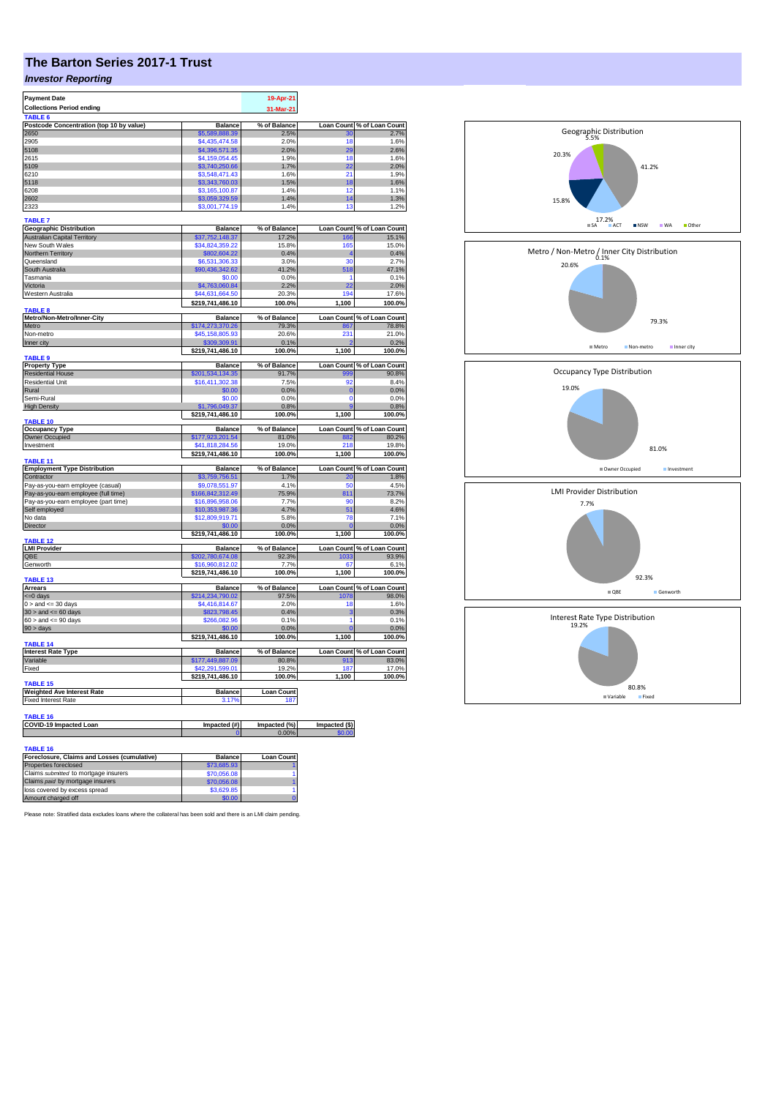## **The Barton Series 2017-1 Trust**

## *Investor Reporting*

| <b>Payment Date</b>                                 |                                  | 19-Apr-21                |                      |                                                                                                                                                                                                                                               |
|-----------------------------------------------------|----------------------------------|--------------------------|----------------------|-----------------------------------------------------------------------------------------------------------------------------------------------------------------------------------------------------------------------------------------------|
| <b>Collections Period ending</b>                    |                                  | 31-Mar-21                |                      |                                                                                                                                                                                                                                               |
| TABLE 6                                             |                                  |                          |                      |                                                                                                                                                                                                                                               |
| Postcode Concentration (top 10 by value)<br>2650    | <b>Balance</b><br>\$5,589,888,39 | % of Balance<br>2.5%     | <b>Loan Count</b>    | % of Loan Count                                                                                                                                                                                                                               |
| 2905                                                | \$4,435,474.58                   | 2.0%                     | 30<br>18             | 2.7%<br>1.6%                                                                                                                                                                                                                                  |
| 5108                                                | \$4,396,571.35                   | 2.0%                     | 29                   | 2.6%                                                                                                                                                                                                                                          |
| 2615                                                | \$4,159,054.45                   | 1.9%                     | 18                   | 1.6%                                                                                                                                                                                                                                          |
| 5109                                                | \$3,740,250.66                   | 1.7%                     | 22                   | 2.0%                                                                                                                                                                                                                                          |
| 6210                                                | \$3,548,471.43                   | 1.6%                     | 21                   | 1.9%                                                                                                                                                                                                                                          |
| 5118                                                | \$3,343,760.03                   | 1.5%                     | 18                   | 1.6%                                                                                                                                                                                                                                          |
| 6208                                                | \$3,165,100.87                   | 1.4%                     | 12                   | 1.1%                                                                                                                                                                                                                                          |
| 2602                                                | \$3,059,329.59                   | 1.4%                     | 14                   | 1.3%                                                                                                                                                                                                                                          |
| 2323                                                | \$3,001,774.19                   | 1.4%                     | 13                   | 1.2%                                                                                                                                                                                                                                          |
| <b>TABLE 7</b>                                      |                                  |                          |                      |                                                                                                                                                                                                                                               |
| <b>Geographic Distribution</b>                      | <b>Balance</b>                   | % of Balance             | <b>Loan Count</b>    | % of Loan Count                                                                                                                                                                                                                               |
| <b>Australian Capital Territory</b>                 | \$37,752,148.37                  | 17.2%                    | 166                  | 15.1%                                                                                                                                                                                                                                         |
| New South Wales                                     | \$34,824,359.22                  | 15.8%                    | 165                  | 15.0%                                                                                                                                                                                                                                         |
| Northern Territory                                  | \$802,604.22                     | 0.4%                     | 4                    | 0.4%                                                                                                                                                                                                                                          |
| Queensland                                          | \$6,531,306.33                   | 3.0%                     | 30                   | 2.7%                                                                                                                                                                                                                                          |
| South Australia                                     | \$90,436,342.62                  | 41.2%                    | 518                  | 47.1%                                                                                                                                                                                                                                         |
| Tasmania                                            | \$0.00                           | 0.0%                     | 1                    | 0.1%                                                                                                                                                                                                                                          |
| Victoria                                            | \$4,763,060.84                   | 2.2%                     | 22                   | 2.0%                                                                                                                                                                                                                                          |
| Western Australia                                   | \$44,631,664.50                  | 20.3%                    | 194                  | 17.6%                                                                                                                                                                                                                                         |
| TABLE 8                                             | \$219,741,486.10                 | 100.0%                   | 1,100                | 100.0%                                                                                                                                                                                                                                        |
| Metro/Non-Metro/Inner-City                          | <b>Balance</b>                   | % of Balance             | <b>Loan Count</b>    | % of Loan Count                                                                                                                                                                                                                               |
| Metro                                               | \$174,273,370.26                 | 79.3%                    | 867                  | 78.8%                                                                                                                                                                                                                                         |
| Non-metro                                           | \$45,158,805.93                  | 20.6%                    | 231                  | 21.0%                                                                                                                                                                                                                                         |
| Inner city                                          | \$309,309.91                     | 0.1%                     |                      | 0.2%                                                                                                                                                                                                                                          |
|                                                     | \$219,741,486.10                 | 100.0%                   | 1,100                | 100.0%                                                                                                                                                                                                                                        |
| TABLE <sub>9</sub>                                  |                                  |                          |                      |                                                                                                                                                                                                                                               |
| <b>Property Type</b>                                | <b>Balance</b>                   | % of Balance             |                      | Loan Count % of Loan Count<br>90.8%                                                                                                                                                                                                           |
| <b>Residential House</b><br><b>Residential Unit</b> | \$201,534,134.35                 | 91.7%<br>7.5%            | 999<br>92            | 8.4%                                                                                                                                                                                                                                          |
|                                                     | \$16,411,302.38                  |                          |                      |                                                                                                                                                                                                                                               |
| Rural<br>Semi-Rural                                 | \$0.00<br>\$0.00                 | 0.0%<br>0.0%             | $\bf{0}$<br>$\Omega$ | 0.0%<br>0.0%                                                                                                                                                                                                                                  |
| <b>High Density</b>                                 | \$1,796,049.37                   | 0.8%                     |                      | 0.8%                                                                                                                                                                                                                                          |
|                                                     | \$219,741,486.10                 | 100.0%                   | 1,100                | 100.0%                                                                                                                                                                                                                                        |
| TABLE 10                                            |                                  |                          |                      |                                                                                                                                                                                                                                               |
| <b>Occupancy Type</b>                               | <b>Balance</b>                   | % of Balance             | Loan Count           | % of Loan Count                                                                                                                                                                                                                               |
| Owner Occupied                                      | \$177,923,201.54                 | 81.0%                    | 882                  | 80.2%                                                                                                                                                                                                                                         |
| Investment                                          | \$41,818,284.56                  | 19.0%                    | 218                  | 19.8%                                                                                                                                                                                                                                         |
| TABLE 11                                            | \$219,741,486.10                 | 100.0%                   | 1,100                | 100.0%                                                                                                                                                                                                                                        |
| <b>Employment Type Distribution</b>                 | <b>Balance</b>                   | % of Balance             |                      | Loan Count % of Loan Count                                                                                                                                                                                                                    |
| Contractor                                          |                                  |                          |                      |                                                                                                                                                                                                                                               |
|                                                     | \$3,759,756.51                   | 1.7%                     | 20                   |                                                                                                                                                                                                                                               |
| Pay-as-you-earn employee (casual)                   | \$9,078,551.97                   | 4.1%                     | 50                   |                                                                                                                                                                                                                                               |
| Pay-as-you-earn employee (full time)                | \$166,842,312.49                 | 75.9%                    | 811                  |                                                                                                                                                                                                                                               |
| Pay-as-you-earn employee (part time)                | \$16,896,958.06                  | 7.7%                     | 90                   |                                                                                                                                                                                                                                               |
| Self employed                                       | \$10,353,987.36                  | 4.7%                     | 51                   |                                                                                                                                                                                                                                               |
| No data                                             | \$12,809,919.71                  | 5.8%                     | 78                   |                                                                                                                                                                                                                                               |
| Director                                            | \$0.00                           | 0.0%                     | $\mathbf{0}$         |                                                                                                                                                                                                                                               |
|                                                     | \$219,741,486.10                 | 100.0%                   | 1,100                |                                                                                                                                                                                                                                               |
| <b>TABLE 12</b>                                     | <b>Balance</b>                   | % of Balance             | <b>Loan Count</b>    |                                                                                                                                                                                                                                               |
| <b>LMI Provider</b><br>QBE                          | \$202,780,674.08                 | 92.3%                    | 1033                 |                                                                                                                                                                                                                                               |
| Genworth                                            | \$16,960,812.02                  | 7.7%                     | 67                   |                                                                                                                                                                                                                                               |
|                                                     | \$219,741,486.10                 | 100.0%                   | 1,100                |                                                                                                                                                                                                                                               |
| TABLE 13                                            |                                  |                          |                      |                                                                                                                                                                                                                                               |
| <b>Arrears</b>                                      | <b>Balance</b>                   | % of Balance             | Loan Count           |                                                                                                                                                                                                                                               |
| <= 0 days                                           | \$214.234.790.02                 | 97.5%                    | 1078                 |                                                                                                                                                                                                                                               |
| $0 >$ and $\leq 30$ days                            | \$4,416,814.67                   | 2.0%                     | 18                   |                                                                                                                                                                                                                                               |
| $30 >$ and $\leq 60$ days                           | \$823,798.45                     | 0.4%                     | 3                    |                                                                                                                                                                                                                                               |
| $60 >$ and $\leq 90$ days                           | \$266,082.96                     | 0.1%                     | 1                    |                                                                                                                                                                                                                                               |
| 90 > days                                           | \$0.00                           | 0.0%                     | $\Omega$             |                                                                                                                                                                                                                                               |
|                                                     | \$219,741,486.10                 | 100.0%                   | 1,100                |                                                                                                                                                                                                                                               |
| TABLE 14<br><b>Interest Rate Type</b>               | <b>Balance</b>                   | % of Balance             |                      |                                                                                                                                                                                                                                               |
| Variable                                            | \$177,449,887.09                 | 80.8%                    | 913                  |                                                                                                                                                                                                                                               |
| Fixed                                               | \$42,291,599.01                  | 19.2%                    | 187                  |                                                                                                                                                                                                                                               |
|                                                     | \$219,741,486.10                 | 100.0%                   | 1,100                |                                                                                                                                                                                                                                               |
| <b>TABLE 15</b>                                     |                                  |                          |                      |                                                                                                                                                                                                                                               |
| <b>Weighted Ave Interest Rate</b>                   | <b>Balance</b><br>3.179          | <b>Loan Count</b><br>187 |                      |                                                                                                                                                                                                                                               |
| <b>Fixed Interest Rate</b>                          |                                  |                          |                      |                                                                                                                                                                                                                                               |
| <b>TABLE 16</b>                                     |                                  |                          |                      | 1.8%<br>4.5%<br>73.7%<br>8.2%<br>4.6%<br>7.1%<br>0.0%<br>100.0%<br>% of Loan Count<br>93.9%<br>6.1%<br>100.0%<br>% of Loan Count<br>98.0%<br>1.6%<br>0.3%<br>0.1%<br>0.0%<br>100.0%<br>Loan Count % of Loan Count<br>83.0%<br>17.0%<br>100.0% |
| COVID-19 Impacted Loan                              | Impacted (#)                     | Impacted (%)             | Impacted (\$)        |                                                                                                                                                                                                                                               |
|                                                     | $\Omega$                         | 0.00%                    | \$0.00               |                                                                                                                                                                                                                                               |
| <b>TABLE 16</b>                                     |                                  |                          |                      |                                                                                                                                                                                                                                               |

| IADLE 19                                    |                |                   |
|---------------------------------------------|----------------|-------------------|
| Foreclosure, Claims and Losses (cumulative) | <b>Balance</b> | <b>Loan Count</b> |
| Properties foreclosed                       | \$73,685.93    |                   |
| Claims submitted to mortgage insurers       | \$70,056.08    |                   |
| Claims paid by mortgage insurers            | \$70,056,08    |                   |
| loss covered by excess spread               | \$3,629.85     |                   |
| Amount charged off                          | \$0.00         |                   |

Please note: Stratified data excludes loans where the collateral has been sold and there is an LMI claim pending.